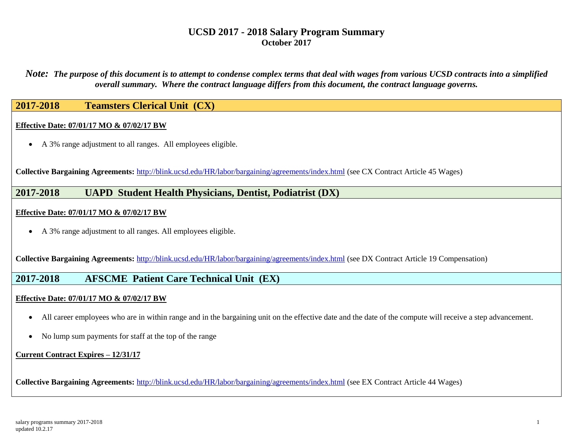*Note: The purpose of this document is to attempt to condense complex terms that deal with wages from various UCSD contracts into a simplified overall summary. Where the contract language differs from this document, the contract language governs.*

## **2017-2018 Teamsters Clerical Unit (CX)**

### **Effective Date: 07/01/17 MO & 07/02/17 BW**

A 3% range adjustment to all ranges. All employees eligible.

**Collective Bargaining Agreements:** <http://blink.ucsd.edu/HR/labor/bargaining/agreements/index.html> (see CX Contract Article 45 Wages)

# **2017-2018 UAPD Student Health Physicians, Dentist, Podiatrist (DX)**

#### **Effective Date: 07/01/17 MO & 07/02/17 BW**

A 3% range adjustment to all ranges. All employees eligible.

**Collective Bargaining Agreements:** <http://blink.ucsd.edu/HR/labor/bargaining/agreements/index.html> (see DX Contract Article 19 Compensation)

### **2017-2018 AFSCME Patient Care Technical Unit (EX)**

### **Effective Date: 07/01/17 MO & 07/02/17 BW**

- All career employees who are in within range and in the bargaining unit on the effective date and the date of the compute will receive a step advancement.
- No lump sum payments for staff at the top of the range

#### **Current Contract Expires – 12/31/17**

**Collective Bargaining Agreements:** <http://blink.ucsd.edu/HR/labor/bargaining/agreements/index.html> (see EX Contract Article 44 Wages)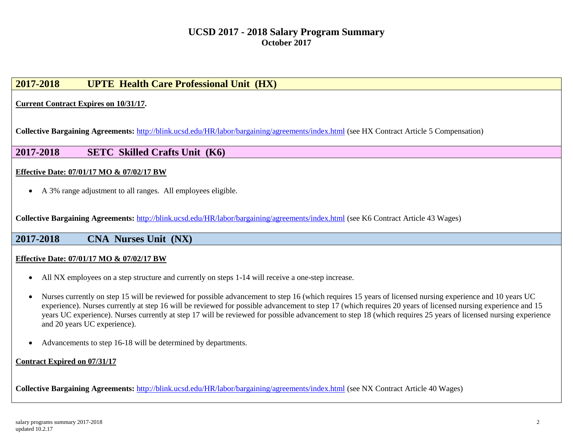# **2017-2018 UPTE Health Care Professional Unit (HX)**

**Current Contract Expires on 10/31/17.**

**Collective Bargaining Agreements:** <http://blink.ucsd.edu/HR/labor/bargaining/agreements/index.html> (see HX Contract Article 5 Compensation)

**2017-2018 SETC Skilled Crafts Unit (K6)**

### **Effective Date: 07/01/17 MO & 07/02/17 BW**

A 3% range adjustment to all ranges. All employees eligible.

**Collective Bargaining Agreements:** <http://blink.ucsd.edu/HR/labor/bargaining/agreements/index.html> (see K6 Contract Article 43 Wages)

### **2017-2018 CNA Nurses Unit (NX)**

### **Effective Date: 07/01/17 MO & 07/02/17 BW**

- All NX employees on a step structure and currently on steps 1-14 will receive a one-step increase.
- Nurses currently on step 15 will be reviewed for possible advancement to step 16 (which requires 15 years of licensed nursing experience and 10 years UC experience). Nurses currently at step 16 will be reviewed for possible advancement to step 17 (which requires 20 years of licensed nursing experience and 15 years UC experience). Nurses currently at step 17 will be reviewed for possible advancement to step 18 (which requires 25 years of licensed nursing experience and 20 years UC experience).
- Advancements to step 16-18 will be determined by departments.

### **Contract Expired on 07/31/17**

**Collective Bargaining Agreements:** <http://blink.ucsd.edu/HR/labor/bargaining/agreements/index.html> (see NX Contract Article 40 Wages)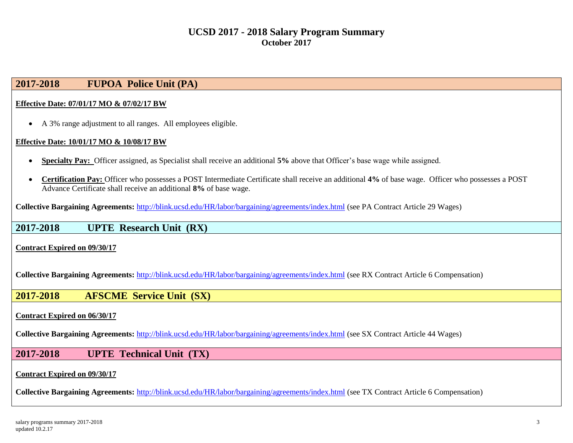# **2017-2018 FUPOA Police Unit (PA)**

#### **Effective Date: 07/01/17 MO & 07/02/17 BW**

A 3% range adjustment to all ranges. All employees eligible.

#### **Effective Date: 10/01/17 MO & 10/08/17 BW**

- **Specialty Pay:** Officer assigned, as Specialist shall receive an additional **5%** above that Officer's base wage while assigned.
- **Certification Pay:** Officer who possesses a POST Intermediate Certificate shall receive an additional **4%** of base wage. Officer who possesses a POST Advance Certificate shall receive an additional **8%** of base wage.

**Collective Bargaining Agreements:** <http://blink.ucsd.edu/HR/labor/bargaining/agreements/index.html> (see PA Contract Article 29 Wages)

## **2017-2018 UPTE Research Unit (RX)**

**Contract Expired on 09/30/17**

**Collective Bargaining Agreements:** <http://blink.ucsd.edu/HR/labor/bargaining/agreements/index.html> (see RX Contract Article 6 Compensation)

### **2017-2018 AFSCME Service Unit (SX)**

#### **Contract Expired on 06/30/17**

**Collective Bargaining Agreements:** <http://blink.ucsd.edu/HR/labor/bargaining/agreements/index.html> (see SX Contract Article 44 Wages)

### **2017-2018 UPTE Technical Unit (TX)**

#### **Contract Expired on 09/30/17**

**Collective Bargaining Agreements:** <http://blink.ucsd.edu/HR/labor/bargaining/agreements/index.html> (see TX Contract Article 6 Compensation)